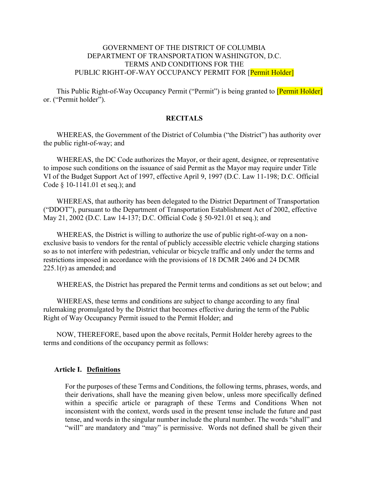#### GOVERNMENT OF THE DISTRICT OF COLUMBIA DEPARTMENT OF TRANSPORTATION WASHINGTON, D.C. TERMS AND CONDITIONS FOR THE PUBLIC RIGHT-OF-WAY OCCUPANCY PERMIT FOR [Permit Holder]

This Public Right-of-Way Occupancy Permit ("Permit") is being granted to **[Permit Holder**] or. ("Permit holder").

#### RECITALS

WHEREAS, the Government of the District of Columbia ("the District") has authority over the public right-of-way; and

WHEREAS, the DC Code authorizes the Mayor, or their agent, designee, or representative to impose such conditions on the issuance of said Permit as the Mayor may require under Title VI of the Budget Support Act of 1997, effective April 9, 1997 (D.C. Law 11-198; D.C. Official Code § 10-1141.01 et seq.); and

WHEREAS, that authority has been delegated to the District Department of Transportation ("DDOT"), pursuant to the Department of Transportation Establishment Act of 2002, effective May 21, 2002 (D.C. Law 14-137; D.C. Official Code § 50-921.01 et seq.); and

WHEREAS, the District is willing to authorize the use of public right-of-way on a nonexclusive basis to vendors for the rental of publicly accessible electric vehicle charging stations so as to not interfere with pedestrian, vehicular or bicycle traffic and only under the terms and restrictions imposed in accordance with the provisions of 18 DCMR 2406 and 24 DCMR  $225.1(r)$  as amended; and

WHEREAS, the District has prepared the Permit terms and conditions as set out below; and

WHEREAS, these terms and conditions are subject to change according to any final rulemaking promulgated by the District that becomes effective during the term of the Public Right of Way Occupancy Permit issued to the Permit Holder; and

NOW, THEREFORE, based upon the above recitals, Permit Holder hereby agrees to the terms and conditions of the occupancy permit as follows:

#### Article I. Definitions

For the purposes of these Terms and Conditions, the following terms, phrases, words, and their derivations, shall have the meaning given below, unless more specifically defined within a specific article or paragraph of these Terms and Conditions When not inconsistent with the context, words used in the present tense include the future and past tense, and words in the singular number include the plural number. The words "shall" and "will" are mandatory and "may" is permissive. Words not defined shall be given their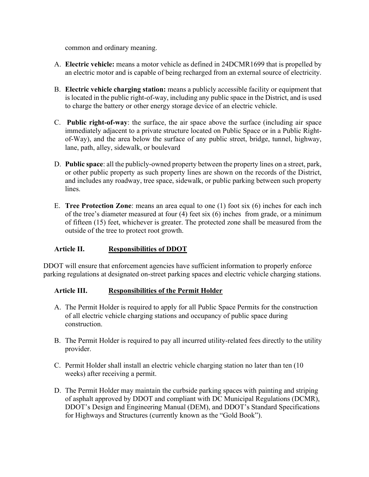common and ordinary meaning.

- A. Electric vehicle: means a motor vehicle as defined in 24DCMR1699 that is propelled by an electric motor and is capable of being recharged from an external source of electricity.
- B. Electric vehicle charging station: means a publicly accessible facility or equipment that is located in the public right-of-way, including any public space in the District, and is used to charge the battery or other energy storage device of an electric vehicle.
- C. Public right-of-way: the surface, the air space above the surface (including air space immediately adjacent to a private structure located on Public Space or in a Public Rightof-Way), and the area below the surface of any public street, bridge, tunnel, highway, lane, path, alley, sidewalk, or boulevard
- D. Public space: all the publicly-owned property between the property lines on a street, park, or other public property as such property lines are shown on the records of the District, and includes any roadway, tree space, sidewalk, or public parking between such property lines.
- E. Tree Protection Zone: means an area equal to one (1) foot six (6) inches for each inch of the tree's diameter measured at four (4) feet six (6) inches from grade, or a minimum of fifteen (15) feet, whichever is greater. The protected zone shall be measured from the outside of the tree to protect root growth.

### Article II. Responsibilities of DDOT

DDOT will ensure that enforcement agencies have sufficient information to properly enforce parking regulations at designated on-street parking spaces and electric vehicle charging stations.

### Article III. Responsibilities of the Permit Holder

- A. The Permit Holder is required to apply for all Public Space Permits for the construction of all electric vehicle charging stations and occupancy of public space during construction.
- B. The Permit Holder is required to pay all incurred utility-related fees directly to the utility provider.
- C. Permit Holder shall install an electric vehicle charging station no later than ten (10 weeks) after receiving a permit.
- D. The Permit Holder may maintain the curbside parking spaces with painting and striping of asphalt approved by DDOT and compliant with DC Municipal Regulations (DCMR), DDOT's Design and Engineering Manual (DEM), and DDOT's Standard Specifications for Highways and Structures (currently known as the "Gold Book").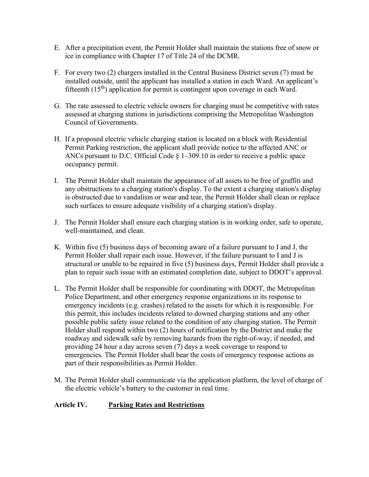- E. After a precipitation event, the Permit Holder shall maintain the stations free of snow or ice in compliance with Chapter 17 of Title 24 of the DCMR.
- F. For every two (2) chargers installed in the Central Business District seven (7) must be installed outside, until the applicant has installed a station in each Ward. An applicant's fifteenth  $(15<sup>th</sup>)$  application for permit is contingent upon coverage in each Ward.
- G. The rate assessed to electric vehicle owners for charging must be competitive with rates assessed at charging stations in jurisdictions comprising the Metropolitan Washington Council of Governments.
- H. If a proposed electric vehicle charging station is located on a block with Residential Permit Parking restriction, the applicant shall provide notice to the affected ANC or ANCs pursuant to D.C. Official Code § 1–309.10 in order to receive a public space occupancy permit.
- I. The Permit Holder shall maintain the appearance of all assets to be free of graffiti and any obstructions to a charging station's display. To the extent a charging station's display is obstructed due to vandalism or wear and tear, the Permit Holder shall clean or replace such surfaces to ensure adequate visibility of a charging station's display.
- J. The Permit Holder shall ensure each charging station is in working order, safe to operate, well-maintained, and clean.
- K. Within five (5) business days of becoming aware of a failure pursuant to I and J, the Permit Holder shall repair each issue. However, if the failure pursuant to I and J is structural or unable to be repaired in five (5) business days, Permit Holder shall provide a plan to repair such issue with an estimated completion date, subject to DDOT's approval.
- L. The Permit Holder shall be responsible for coordinating with DDOT, the Metropolitan Police Department, and other emergency response organizations in its response to emergency incidents (e.g. crashes) related to the assets for which it is responsible. For this permit, this includes incidents related to downed charging stations and any other possible public safety issue related to the condition of any charging station. The Permit Holder shall respond within two (2) hours of notification by the District and make the roadway and sidewalk safe by removing hazards from the right-of-way, if needed, and providing 24 hour a day across seven (7) days a week coverage to respond to emergencies. The Permit Holder shall bear the costs of emergency response actions as part of their responsibilities as Permit Holder.
- M. The Permit Holder shall communicate via the application platform, the level of charge of the electric vehicle's battery to the customer in real time.

### Article IV. Parking Rates and Restrictions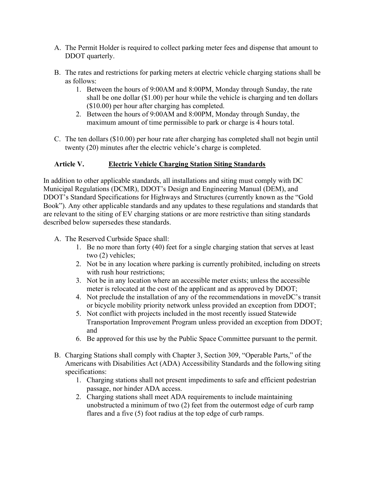- A. The Permit Holder is required to collect parking meter fees and dispense that amount to DDOT quarterly.
- B. The rates and restrictions for parking meters at electric vehicle charging stations shall be as follows:
	- 1. Between the hours of 9:00AM and 8:00PM, Monday through Sunday, the rate shall be one dollar (\$1.00) per hour while the vehicle is charging and ten dollars (\$10.00) per hour after charging has completed.
	- 2. Between the hours of 9:00AM and 8:00PM, Monday through Sunday, the maximum amount of time permissible to park or charge is 4 hours total.
- C. The ten dollars (\$10.00) per hour rate after charging has completed shall not begin until twenty (20) minutes after the electric vehicle's charge is completed.

## Article V. Electric Vehicle Charging Station Siting Standards

In addition to other applicable standards, all installations and siting must comply with DC Municipal Regulations (DCMR), DDOT's Design and Engineering Manual (DEM), and DDOT's Standard Specifications for Highways and Structures (currently known as the "Gold Book"). Any other applicable standards and any updates to these regulations and standards that are relevant to the siting of EV charging stations or are more restrictive than siting standards described below supersedes these standards.

- A. The Reserved Curbside Space shall:
	- 1. Be no more than forty (40) feet for a single charging station that serves at least two (2) vehicles;
	- 2. Not be in any location where parking is currently prohibited, including on streets with rush hour restrictions;
	- 3. Not be in any location where an accessible meter exists; unless the accessible meter is relocated at the cost of the applicant and as approved by DDOT;
	- 4. Not preclude the installation of any of the recommendations in moveDC's transit or bicycle mobility priority network unless provided an exception from DDOT;
	- 5. Not conflict with projects included in the most recently issued Statewide Transportation Improvement Program unless provided an exception from DDOT; and
	- 6. Be approved for this use by the Public Space Committee pursuant to the permit.
- B. Charging Stations shall comply with Chapter 3, Section 309, "Operable Parts," of the Americans with Disabilities Act (ADA) Accessibility Standards and the following siting specifications:
	- 1. Charging stations shall not present impediments to safe and efficient pedestrian passage, nor hinder ADA access.
	- 2. Charging stations shall meet ADA requirements to include maintaining unobstructed a minimum of two (2) feet from the outermost edge of curb ramp flares and a five (5) foot radius at the top edge of curb ramps.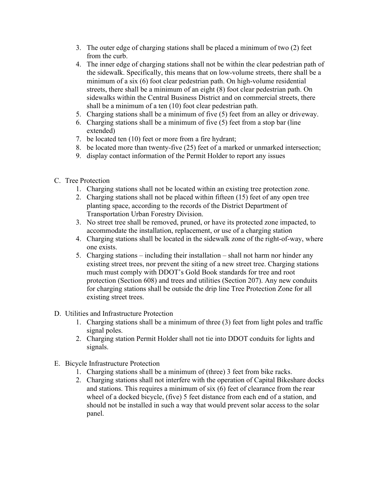- 3. The outer edge of charging stations shall be placed a minimum of two (2) feet from the curb.
- 4. The inner edge of charging stations shall not be within the clear pedestrian path of the sidewalk. Specifically, this means that on low-volume streets, there shall be a minimum of a six (6) foot clear pedestrian path. On high-volume residential streets, there shall be a minimum of an eight (8) foot clear pedestrian path. On sidewalks within the Central Business District and on commercial streets, there shall be a minimum of a ten (10) foot clear pedestrian path.
- 5. Charging stations shall be a minimum of five (5) feet from an alley or driveway.
- 6. Charging stations shall be a minimum of five (5) feet from a stop bar (line extended)
- 7. be located ten (10) feet or more from a fire hydrant;
- 8. be located more than twenty-five (25) feet of a marked or unmarked intersection;
- 9. display contact information of the Permit Holder to report any issues
- C. Tree Protection
	- 1. Charging stations shall not be located within an existing tree protection zone.
	- 2. Charging stations shall not be placed within fifteen (15) feet of any open tree planting space, according to the records of the District Department of Transportation Urban Forestry Division.
	- 3. No street tree shall be removed, pruned, or have its protected zone impacted, to accommodate the installation, replacement, or use of a charging station
	- 4. Charging stations shall be located in the sidewalk zone of the right-of-way, where one exists.
	- 5. Charging stations including their installation shall not harm nor hinder any existing street trees, nor prevent the siting of a new street tree. Charging stations much must comply with DDOT's Gold Book standards for tree and root protection (Section 608) and trees and utilities (Section 207). Any new conduits for charging stations shall be outside the drip line Tree Protection Zone for all existing street trees.
- D. Utilities and Infrastructure Protection
	- 1. Charging stations shall be a minimum of three (3) feet from light poles and traffic signal poles.
	- 2. Charging station Permit Holder shall not tie into DDOT conduits for lights and signals.
- E. Bicycle Infrastructure Protection
	- 1. Charging stations shall be a minimum of (three) 3 feet from bike racks.
	- 2. Charging stations shall not interfere with the operation of Capital Bikeshare docks and stations. This requires a minimum of six (6) feet of clearance from the rear wheel of a docked bicycle, (five) 5 feet distance from each end of a station, and should not be installed in such a way that would prevent solar access to the solar panel.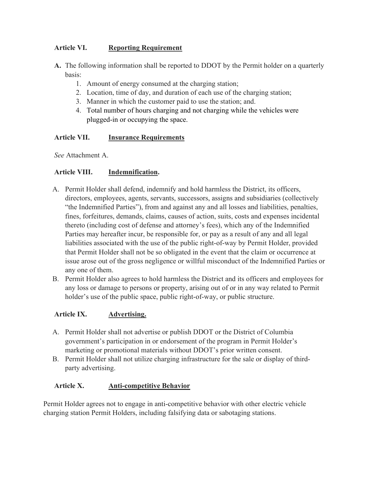# Article VI. Reporting Requirement

A. The following information shall be reported to DDOT by the Permit holder on a quarterly basis:

- 1. Amount of energy consumed at the charging station;
- 2. Location, time of day, and duration of each use of the charging station;
- 3. Manner in which the customer paid to use the station; and.
- 4. Total number of hours charging and not charging while the vehicles were plugged-in or occupying the space.

# Article VII. Insurance Requirements

See Attachment A.

### Article VIII. Indemnification.

- A. Permit Holder shall defend, indemnify and hold harmless the District, its officers, directors, employees, agents, servants, successors, assigns and subsidiaries (collectively "the Indemnified Parties"), from and against any and all losses and liabilities, penalties, fines, forfeitures, demands, claims, causes of action, suits, costs and expenses incidental thereto (including cost of defense and attorney's fees), which any of the Indemnified Parties may hereafter incur, be responsible for, or pay as a result of any and all legal liabilities associated with the use of the public right-of-way by Permit Holder, provided that Permit Holder shall not be so obligated in the event that the claim or occurrence at issue arose out of the gross negligence or willful misconduct of the Indemnified Parties or any one of them.
- B. Permit Holder also agrees to hold harmless the District and its officers and employees for any loss or damage to persons or property, arising out of or in any way related to Permit holder's use of the public space, public right-of-way, or public structure.

### Article IX. Advertising.

- A. Permit Holder shall not advertise or publish DDOT or the District of Columbia government's participation in or endorsement of the program in Permit Holder's marketing or promotional materials without DDOT's prior written consent.
- B. Permit Holder shall not utilize charging infrastructure for the sale or display of thirdparty advertising.

### Article X. **Anti-competitive Behavior**

Permit Holder agrees not to engage in anti-competitive behavior with other electric vehicle charging station Permit Holders, including falsifying data or sabotaging stations.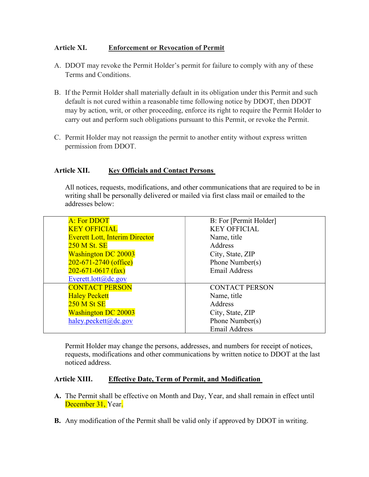### Article XI. Enforcement or Revocation of Permit

- A. DDOT may revoke the Permit Holder's permit for failure to comply with any of these Terms and Conditions.
- B. If the Permit Holder shall materially default in its obligation under this Permit and such default is not cured within a reasonable time following notice by DDOT, then DDOT may by action, writ, or other proceeding, enforce its right to require the Permit Holder to carry out and perform such obligations pursuant to this Permit, or revoke the Permit.
- C. Permit Holder may not reassign the permit to another entity without express written permission from DDOT.

## Article XII. Key Officials and Contact Persons

All notices, requests, modifications, and other communications that are required to be in writing shall be personally delivered or mailed via first class mail or emailed to the addresses below:

| A: For DDOT                           | B: For [Permit Holder] |
|---------------------------------------|------------------------|
| <b>KEY OFFICIAL</b>                   | <b>KEY OFFICIAL</b>    |
| <b>Everett Lott, Interim Director</b> | Name, title            |
| 250 M St. SE                          | Address                |
| <b>Washington DC 20003</b>            | City, State, ZIP       |
| $202 - 671 - 2740$ (office)           | Phone Number(s)        |
| $202 - 671 - 0617$ (fax)              | <b>Email Address</b>   |
| Everett.lott@dc.gov                   |                        |
| <b>CONTACT PERSON</b>                 | <b>CONTACT PERSON</b>  |
| <b>Haley Peckett</b>                  | Name, title            |
| <b>250 M St SE</b>                    | Address                |
| <b>Washington DC 20003</b>            | City, State, ZIP       |
| haley.peckett@dc.gov                  | Phone Number(s)        |
|                                       | <b>Email Address</b>   |

Permit Holder may change the persons, addresses, and numbers for receipt of notices, requests, modifications and other communications by written notice to DDOT at the last noticed address.

### Article XIII. Effective Date, Term of Permit, and Modification

- A. The Permit shall be effective on Month and Day, Year, and shall remain in effect until December 31, Year.
- B. Any modification of the Permit shall be valid only if approved by DDOT in writing.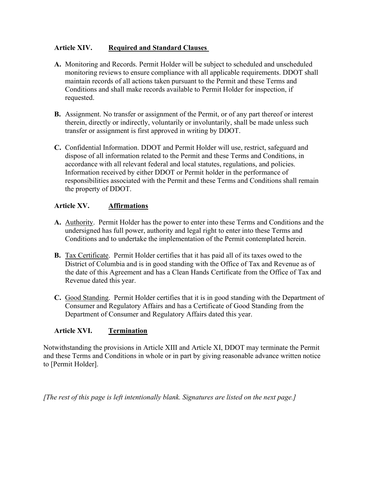## Article XIV. Required and Standard Clauses

- A. Monitoring and Records. Permit Holder will be subject to scheduled and unscheduled monitoring reviews to ensure compliance with all applicable requirements. DDOT shall maintain records of all actions taken pursuant to the Permit and these Terms and Conditions and shall make records available to Permit Holder for inspection, if requested.
- B. Assignment. No transfer or assignment of the Permit, or of any part thereof or interest therein, directly or indirectly, voluntarily or involuntarily, shall be made unless such transfer or assignment is first approved in writing by DDOT.
- C. Confidential Information. DDOT and Permit Holder will use, restrict, safeguard and dispose of all information related to the Permit and these Terms and Conditions, in accordance with all relevant federal and local statutes, regulations, and policies. Information received by either DDOT or Permit holder in the performance of responsibilities associated with the Permit and these Terms and Conditions shall remain the property of DDOT.

## Article XV. Affirmations

- A. Authority. Permit Holder has the power to enter into these Terms and Conditions and the undersigned has full power, authority and legal right to enter into these Terms and Conditions and to undertake the implementation of the Permit contemplated herein.
- B. Tax Certificate. Permit Holder certifies that it has paid all of its taxes owed to the District of Columbia and is in good standing with the Office of Tax and Revenue as of the date of this Agreement and has a Clean Hands Certificate from the Office of Tax and Revenue dated this year.
- C. Good Standing. Permit Holder certifies that it is in good standing with the Department of Consumer and Regulatory Affairs and has a Certificate of Good Standing from the Department of Consumer and Regulatory Affairs dated this year.

# Article XVI. Termination

Notwithstanding the provisions in Article XIII and Article XI, DDOT may terminate the Permit and these Terms and Conditions in whole or in part by giving reasonable advance written notice to [Permit Holder].

[The rest of this page is left intentionally blank. Signatures are listed on the next page.]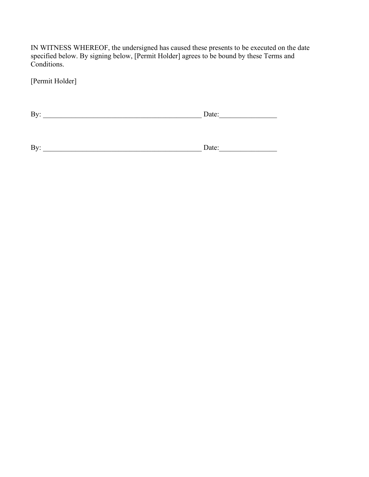IN WITNESS WHEREOF, the undersigned has caused these presents to be executed on the date specified below. By signing below, [Permit Holder] agrees to be bound by these Terms and Conditions.

[Permit Holder]

| - |
|---|
|---|

| - |
|---|
|---|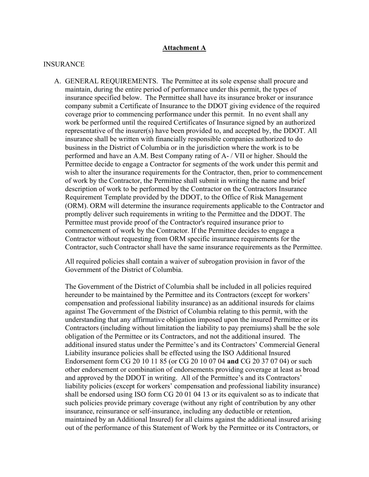#### Attachment A

#### INSURANCE

A. GENERAL REQUIREMENTS. The Permittee at its sole expense shall procure and maintain, during the entire period of performance under this permit, the types of insurance specified below. The Permittee shall have its insurance broker or insurance company submit a Certificate of Insurance to the DDOT giving evidence of the required coverage prior to commencing performance under this permit. In no event shall any work be performed until the required Certificates of Insurance signed by an authorized representative of the insurer(s) have been provided to, and accepted by, the DDOT. All insurance shall be written with financially responsible companies authorized to do business in the District of Columbia or in the jurisdiction where the work is to be performed and have an A.M. Best Company rating of A- / VII or higher. Should the Permittee decide to engage a Contractor for segments of the work under this permit and wish to alter the insurance requirements for the Contractor, then, prior to commencement of work by the Contractor, the Permittee shall submit in writing the name and brief description of work to be performed by the Contractor on the Contractors Insurance Requirement Template provided by the DDOT, to the Office of Risk Management (ORM). ORM will determine the insurance requirements applicable to the Contractor and promptly deliver such requirements in writing to the Permittee and the DDOT. The Permittee must provide proof of the Contractor's required insurance prior to commencement of work by the Contractor. If the Permittee decides to engage a Contractor without requesting from ORM specific insurance requirements for the Contractor, such Contractor shall have the same insurance requirements as the Permittee.

All required policies shall contain a waiver of subrogation provision in favor of the Government of the District of Columbia.

The Government of the District of Columbia shall be included in all policies required hereunder to be maintained by the Permittee and its Contractors (except for workers' compensation and professional liability insurance) as an additional insureds for claims against The Government of the District of Columbia relating to this permit, with the understanding that any affirmative obligation imposed upon the insured Permittee or its Contractors (including without limitation the liability to pay premiums) shall be the sole obligation of the Permittee or its Contractors, and not the additional insured. The additional insured status under the Permittee's and its Contractors' Commercial General Liability insurance policies shall be effected using the ISO Additional Insured Endorsement form CG 20 10 11 85 (or CG 20 10 07 04 and CG 20 37 07 04) or such other endorsement or combination of endorsements providing coverage at least as broad and approved by the DDOT in writing. All of the Permittee's and its Contractors' liability policies (except for workers' compensation and professional liability insurance) shall be endorsed using ISO form CG 20 01 04 13 or its equivalent so as to indicate that such policies provide primary coverage (without any right of contribution by any other insurance, reinsurance or self-insurance, including any deductible or retention, maintained by an Additional Insured) for all claims against the additional insured arising out of the performance of this Statement of Work by the Permittee or its Contractors, or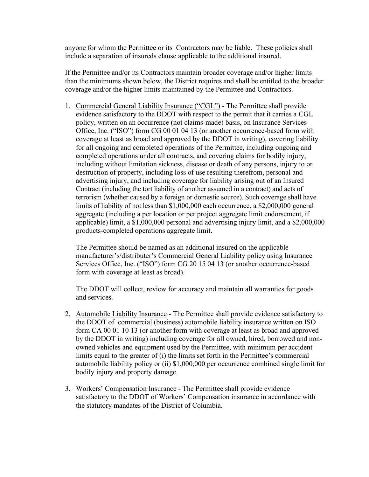anyone for whom the Permittee or its Contractors may be liable. These policies shall include a separation of insureds clause applicable to the additional insured.

 If the Permittee and/or its Contractors maintain broader coverage and/or higher limits than the minimums shown below, the District requires and shall be entitled to the broader coverage and/or the higher limits maintained by the Permittee and Contractors.

1. Commercial General Liability Insurance ("CGL") - The Permittee shall provide evidence satisfactory to the DDOT with respect to the permit that it carries a CGL policy, written on an occurrence (not claims-made) basis, on Insurance Services Office, Inc. ("ISO") form CG 00 01 04 13 (or another occurrence-based form with coverage at least as broad and approved by the DDOT in writing), covering liability for all ongoing and completed operations of the Permittee, including ongoing and completed operations under all contracts, and covering claims for bodily injury, including without limitation sickness, disease or death of any persons, injury to or destruction of property, including loss of use resulting therefrom, personal and advertising injury, and including coverage for liability arising out of an Insured Contract (including the tort liability of another assumed in a contract) and acts of terrorism (whether caused by a foreign or domestic source). Such coverage shall have limits of liability of not less than \$1,000,000 each occurrence, a \$2,000,000 general aggregate (including a per location or per project aggregate limit endorsement, if applicable) limit, a \$1,000,000 personal and advertising injury limit, and a \$2,000,000 products-completed operations aggregate limit.

The Permittee should be named as an additional insured on the applicable manufacturer's/distributer's Commercial General Liability policy using Insurance Services Office, Inc. ("ISO") form CG 20 15 04 13 (or another occurrence-based form with coverage at least as broad).

The DDOT will collect, review for accuracy and maintain all warranties for goods and services.

- 2. Automobile Liability Insurance The Permittee shall provide evidence satisfactory to the DDOT of commercial (business) automobile liability insurance written on ISO form CA 00 01 10 13 (or another form with coverage at least as broad and approved by the DDOT in writing) including coverage for all owned, hired, borrowed and nonowned vehicles and equipment used by the Permittee, with minimum per accident limits equal to the greater of (i) the limits set forth in the Permittee's commercial automobile liability policy or (ii) \$1,000,000 per occurrence combined single limit for bodily injury and property damage.
- 3. Workers' Compensation Insurance The Permittee shall provide evidence satisfactory to the DDOT of Workers' Compensation insurance in accordance with the statutory mandates of the District of Columbia.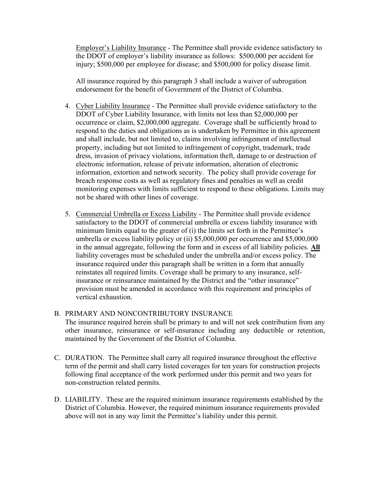Employer's Liability Insurance - The Permittee shall provide evidence satisfactory to the DDOT of employer's liability insurance as follows: \$500,000 per accident for injury; \$500,000 per employee for disease; and \$500,000 for policy disease limit.

 All insurance required by this paragraph 3 shall include a waiver of subrogation endorsement for the benefit of Government of the District of Columbia.

- 4. Cyber Liability Insurance The Permittee shall provide evidence satisfactory to the DDOT of Cyber Liability Insurance, with limits not less than \$2,000,000 per occurrence or claim, \$2,000,000 aggregate. Coverage shall be sufficiently broad to respond to the duties and obligations as is undertaken by Permittee in this agreement and shall include, but not limited to, claims involving infringement of intellectual property, including but not limited to infringement of copyright, trademark, trade dress, invasion of privacy violations, information theft, damage to or destruction of electronic information, release of private information, alteration of electronic information, extortion and network security. The policy shall provide coverage for breach response costs as well as regulatory fines and penalties as well as credit monitoring expenses with limits sufficient to respond to these obligations. Limits may not be shared with other lines of coverage.
- 5. Commercial Umbrella or Excess Liability The Permittee shall provide evidence satisfactory to the DDOT of commercial umbrella or excess liability insurance with minimum limits equal to the greater of (i) the limits set forth in the Permittee's umbrella or excess liability policy or (ii) \$5,000,000 per occurrence and \$5,000,000 in the annual aggregate, following the form and in excess of all liability policies. All liability coverages must be scheduled under the umbrella and/or excess policy. The insurance required under this paragraph shall be written in a form that annually reinstates all required limits. Coverage shall be primary to any insurance, selfinsurance or reinsurance maintained by the District and the "other insurance" provision must be amended in accordance with this requirement and principles of vertical exhaustion.

### B. PRIMARY AND NONCONTRIBUTORY INSURANCE

The insurance required herein shall be primary to and will not seek contribution from any other insurance, reinsurance or self-insurance including any deductible or retention, maintained by the Government of the District of Columbia.

- C. DURATION. The Permittee shall carry all required insurance throughout the effective term of the permit and shall carry listed coverages for ten years for construction projects following final acceptance of the work performed under this permit and two years for non-construction related permits.
- D. LIABILITY. These are the required minimum insurance requirements established by the District of Columbia. However, the required minimum insurance requirements provided above will not in any way limit the Permittee's liability under this permit.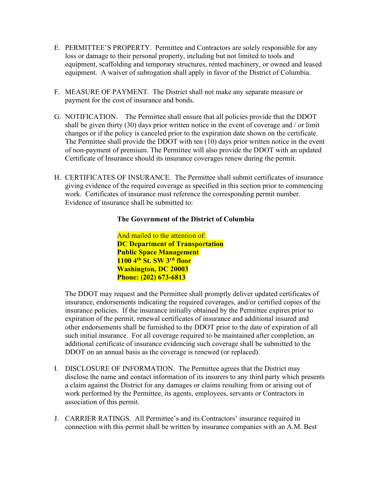- E. PERMITTEE'S PROPERTY. Permittee and Contractors are solely responsible for any loss or damage to their personal property, including but not limited to tools and equipment, scaffolding and temporary structures, rented machinery, or owned and leased equipment. A waiver of subrogation shall apply in favor of the District of Columbia.
- F. MEASURE OF PAYMENT. The District shall not make any separate measure or payment for the cost of insurance and bonds.
- G. NOTIFICATION. The Permittee shall ensure that all policies provide that the DDOT shall be given thirty (30) days prior written notice in the event of coverage and / or limit changes or if the policy is canceled prior to the expiration date shown on the certificate. The Permittee shall provide the DDOT with ten (10) days prior written notice in the event of non-payment of premium. The Permittee will also provide the DDOT with an updated Certificate of Insurance should its insurance coverages renew during the permit.
- H. CERTIFICATES OF INSURANCE. The Permittee shall submit certificates of insurance giving evidence of the required coverage as specified in this section prior to commencing work. Certificates of insurance must reference the corresponding permit number. Evidence of insurance shall be submitted to:

#### The Government of the District of Columbia

And mailed to the attention of: DC Department of Transportation Public Space Management 1100 4<sup>th</sup> St. SW 3<sup>rd</sup> floor Washington, DC 20003 Phone: (202) 673-6813

 The DDOT may request and the Permittee shall promptly deliver updated certificates of insurance, endorsements indicating the required coverages, and/or certified copies of the insurance policies. If the insurance initially obtained by the Permittee expires prior to expiration of the permit, renewal certificates of insurance and additional insured and other endorsements shall be furnished to the DDOT prior to the date of expiration of all such initial insurance. For all coverage required to be maintained after completion, an additional certificate of insurance evidencing such coverage shall be submitted to the DDOT on an annual basis as the coverage is renewed (or replaced).

- I. DISCLOSURE OF INFORMATION. The Permittee agrees that the District may disclose the name and contact information of its insurers to any third party which presents a claim against the District for any damages or claims resulting from or arising out of work performed by the Permittee, its agents, employees, servants or Contractors in association of this permit.
- J. CARRIER RATINGS. All Permittee's and its Contractors' insurance required in connection with this permit shall be written by insurance companies with an A.M. Best